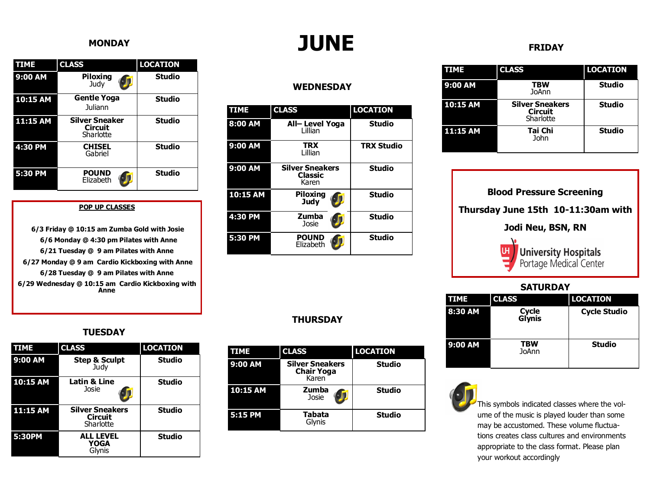#### **MONDAY**

| <b>TIME</b> | <b>CLASS</b>                                         | <b>LOCATION</b> |
|-------------|------------------------------------------------------|-----------------|
| 9:00 AM     | Piloxina<br>Judv                                     | <b>Studio</b>   |
| 10:15 AM    | <b>Gentle Yoga</b><br>Juliann                        | <b>Studio</b>   |
| $11:15$ AM  | <b>Silver Sneaker</b><br><b>Circuit</b><br>Sharlotte | <b>Studio</b>   |
| 4:30 PM     | <b>CHISEL</b><br>Gabriel                             | <b>Studio</b>   |
| 5:30 PM     | <b>POUND</b><br>Elizabeth                            | <b>Studio</b>   |

#### **POP UP CLASSES**

**6/3 Friday @ 10:15 am Zumba Gold with Josie 6/6 Monday @ 4:30 pm Pilates with Anne 6/21 Tuesday @ 9 am Pilates with Anne 6/27 Monday @ 9 am Cardio Kickboxing with Anne 6/28 Tuesday @ 9 am Pilates with Anne 6/29 Wednesday @ 10:15 am Cardio Kickboxing with Anne** 

### **JUNE**

#### **WEDNESDAY**

| <b>TIME</b> | <b>CLASS</b>                                      | <b>LOCATION</b>   |
|-------------|---------------------------------------------------|-------------------|
| 8:00 AM     | All-Level Yoga<br>Lillian                         | <b>Studio</b>     |
| 9:00 AM     | <b>TRX</b><br>Lillian                             | <b>TRX Studio</b> |
| 9:00 AM     | <b>Silver Sneakers</b><br><b>Classic</b><br>Karen | <b>Studio</b>     |
| 10:15 AM    | Piloxing<br><b>Judy</b>                           | <b>Studio</b>     |
| 4:30 PM     | Zumba<br>Josie                                    | <b>Studio</b>     |
| 5:30 PM     | <b>POUND</b><br>Elizabeth                         | <b>Studio</b>     |

#### **THURSDAY**

| <b>TIME</b> | <b>CLASS</b>                                         | <b>LOCATION</b> |
|-------------|------------------------------------------------------|-----------------|
| 9:00 AM     | <b>Silver Sneakers</b><br><b>Chair Yoga</b><br>Karen | <b>Studio</b>   |
| 10:15 AM    | Zumba<br>Josie                                       | <b>Studio</b>   |
| 5:15 PM     | Tabata<br>Glynis                                     | <b>Studio</b>   |

#### **FRIDAY**

| TIME     | <b>CLASS</b>                                          | <b>LOCATION</b> |
|----------|-------------------------------------------------------|-----------------|
| 9:00 AM  | <b>TBW</b><br><b>JoAnn</b>                            | <b>Studio</b>   |
| 10:15 AM | <b>Silver Sneakers</b><br><b>Circuit</b><br>Sharlotte | <b>Studio</b>   |
| 11:15 AM | Tai Chi<br>John                                       | <b>Studio</b>   |

| <b>Blood Pressure Screening</b>                   |  |  |
|---------------------------------------------------|--|--|
| Thursday June 15th 10-11:30am with                |  |  |
| Jodi Neu, BSN, RN                                 |  |  |
| Ut University Hospitals<br>Portage Medical Center |  |  |
| <b>SATURDAY</b>                                   |  |  |
|                                                   |  |  |

| <b>TIME</b> | <b>CLASS</b>           | <b>LOCATION</b>     |
|-------------|------------------------|---------------------|
| 8:30 AM     | <b>Cycle</b><br>Glynis | <b>Cycle Studio</b> |
| 9:00 AM     | TBW<br>JoAnn           | <b>Studio</b>       |



This symbols indicated classes where the volume of the music is played louder than some may be accustomed. These volume fluctuations creates class cultures and environments appropriate to the class format. Please plan your workout accordingly

#### **TUESDAY**

| TIME     | <b>CLASS</b>                                          | <b>LOCATION</b> |
|----------|-------------------------------------------------------|-----------------|
| 9:00 AM  | <b>Step &amp; Sculpt</b><br>Judy                      | <b>Studio</b>   |
| 10:15 AM | Latin & Line<br>Josie                                 | <b>Studio</b>   |
| 11:15 AM | <b>Silver Sneakers</b><br><b>Circuit</b><br>Sharlotte | <b>Studio</b>   |
| 5:30PM   | <b>ALL LEVEL</b><br><b>YOGA</b><br>Glvnis             | <b>Studio</b>   |